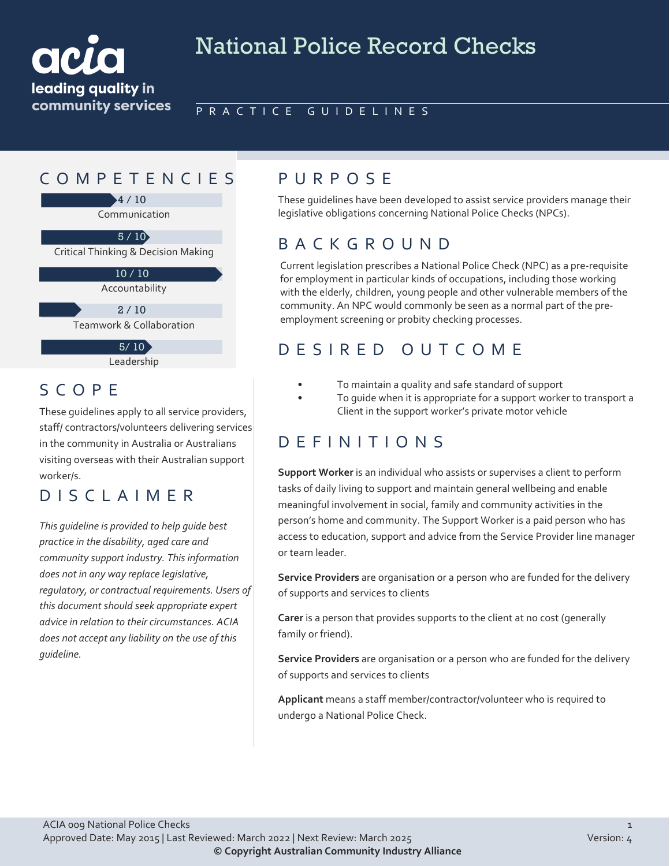

# National Police Record Checks

#### PRACTICE GUIDELINES

### COMPETENCIES PURPOS E

4 / 10

Communication

Critical Thinking & Decision Making 5 / 10

> Accountability 10 / 10

 $2 / 10$ 

Teamwork & Collaboration

 $5/10$ 

Leadership

#### SCOPE

These guidelines apply to all service providers, staff/ contractors/volunteers delivering services in the community in Australia or Australians visiting overseas with their Australian support worker/s.

DISCLAIMER

*This guideline is provided to help guide best practice in the disability, aged care and community support industry. This information does not in any way replace legislative, regulatory, or contractual requirements. Users of this document should seek appropriate expert advice in relation to their circumstances. ACIA does not accept any liability on the use of this guideline.*

These guidelines have been developed to assist service providers manage their legislative obligations concerning National Police Checks (NPCs).

### BACKGROUND

Current legislation prescribes a National Police Check (NPC) as a pre-requisite for employment in particular kinds of occupations, including those working with the elderly, children, young people and other vulnerable members of the community. An NPC would commonly be seen as a normal part of the preemployment screening or probity checking processes.

## DESIRED OUTCOME

- To maintain a quality and safe standard of support
- To guide when it is appropriate for a support worker to transport a Client in the support worker's private motor vehicle

### DEFINITIONS

**Support Worker** is an individual who assists or supervises a client to perform tasks of daily living to support and maintain general wellbeing and enable meaningful involvement in social, family and community activities in the person's home and community. The Support Worker is a paid person who has access to education, support and advice from the Service Provider line manager or team leader.

**Service Providers** are organisation or a person who are funded for the delivery of supports and services to clients

**Carer** is a person that provides supports to the client at no cost (generally family or friend).

**Service Providers** are organisation or a person who are funded for the delivery of supports and services to clients

**Applicant** means a staff member/contractor/volunteer who is required to undergo a National Police Check.